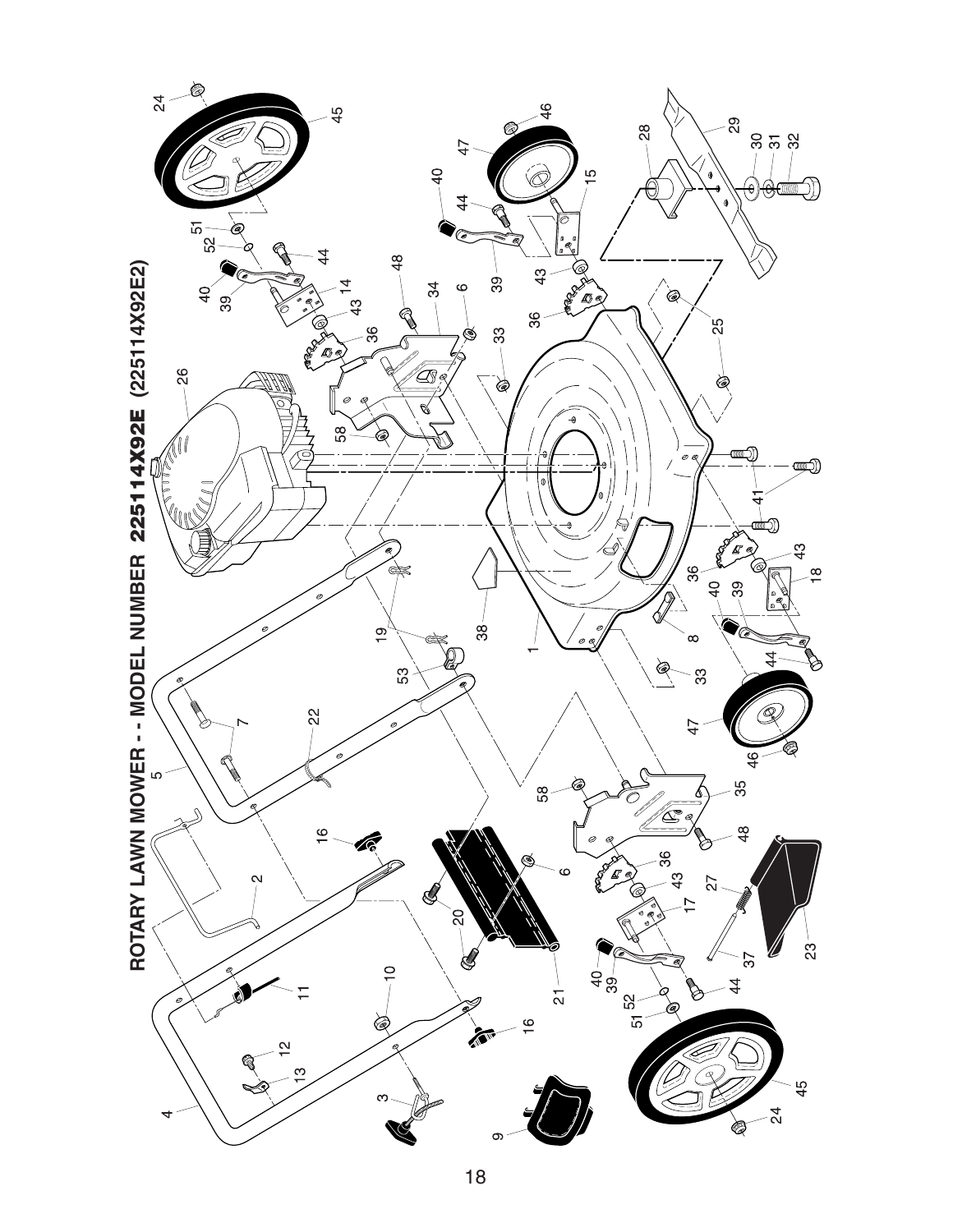